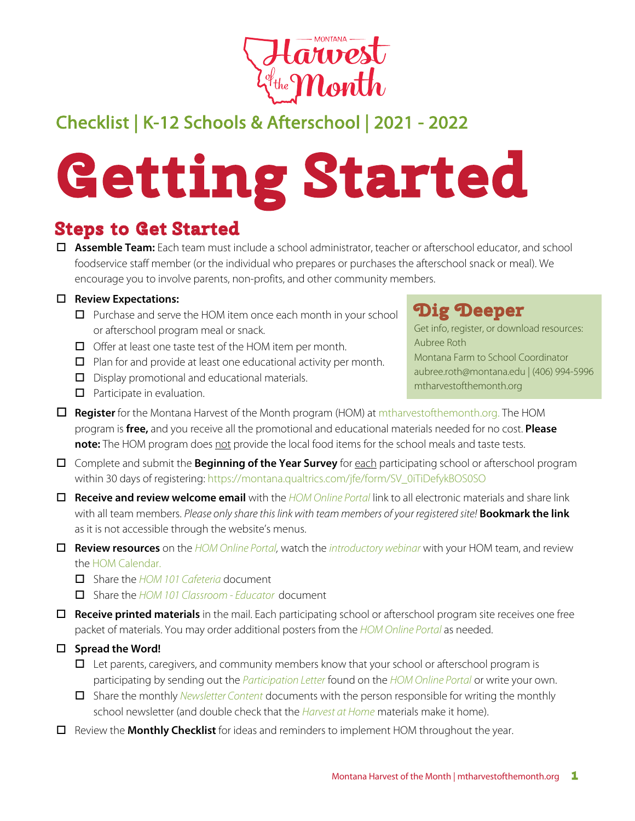

# Checklist | K-12 Schools & Afterschool | 2021 - 2022

# **Getting Started**

o **Assemble Team:** Each team must include a school administrator, teacher or afterschool educator, and school foodservice staff member (or the individual who prepares or purchases the afterschool snack or meal). We encourage you to involve parents, non-profits, and other community members.

#### □ Review Expectations:

- $\Box$  Purchase and serve the HOM item once each month in your school or afterschool program meal or snack.
- $\Box$  Offer at least one taste test of the HOM item per month.
- $\Box$  Plan for and provide at least one educational activity per month.
- $\Box$  Display promotional and educational materials.
- $\Box$  Participate in evaluation.

### **Dig Deeper**

Get info, register, or download resources: Aubree Roth Montana Farm to School Coordinator aubree.roth@montana.edu | (406) 994-5996 mtharvestofthemonth.org

- **Register** for the Montana Harvest of the Month program (HOM) at mtharvestofthemonth.org. The HOM program is **free,** and you receive all the promotional and educational materials needed for no cost. **Please**  note: The HOM program does not provide the local food items for the school meals and taste tests.
- o Complete and submit the **Beginning of the Year Survey** for each participating school or afterschool program within 30 days of registering: https://montana.qualtrics.com/jfe/form/SV\_0iTiDefykBOS0SO
- o **Receive and review welcome email** with the *[HOM Online Portal](https://www.montana.edu/mtharvestofthemonth/portal.html)* link to all electronic materials and share link with all team members. *Please only share this link with team members of your registered site!* **Bookmark the link** as it is not accessible through the website's menus.
- o **Review resources** on the *[HOM Online Portal,](https://www.montana.edu/mtharvestofthemonth/portal.html)* watch the *[introductory webinar](https://www.montana.edu/mtharvestofthemonth/documents/2017/MTHOM%20Welcome%20Training%20Sept%202016.mp4)* with your HOM team, and review the [HOM Calendar.](https://www.montana.edu/mtharvestofthemonth/documents/2021/HOM21_Calendar.pdf) 
	- o Share the *[HOM 101 Cafeteria](https://www.montana.edu/mtharvestofthemonth/documents/2021/HOM21_K12_ECE_101_Cafeteria.pdf)* document
	- o Share the *[HOM 101 Classroom Educator](https://www.montana.edu/mtharvestofthemonth/documents/2021/HOM21_K12_ECE_101_Classroom.pdf)* document
- □ **Receive printed materials** in the mail. Each participating school or afterschool program site receives one free packet of materials. You may order additional posters from the *[HOM Online Portal](https://www.montana.edu/mtharvestofthemonth/portal.html)* as needed.

#### □ Spread the Word!

- $\Box$  Let parents, caregivers, and community members know that your school or afterschool program is participating by sending out the *[Participation Letter](http://www.montana.edu/mtharvestofthemonth/documents/2021/HOM21_K12_ParticipatingLetter_Schools.docx)* found on the *[HOM Online Portal](https://www.montana.edu/mtharvestofthemonth/portal.html)* or write your own.
- □ Share the monthly *[Newsletter Content](http://www.montana.edu/mtharvestofthemonth/documents/2021/HOM21_Newsletters/HOM21_Apples_Newsletter.docx)* documents with the person responsible for writing the monthly school newsletter (and double check that the *[Harvest at Home](https://www.montana.edu/mtharvestofthemonth/documents/2021/HOM21_Apples_Home.pdf)* materials make it home).
- o Review the **Monthly Checklist** for ideas and reminders to implement HOM throughout the year.